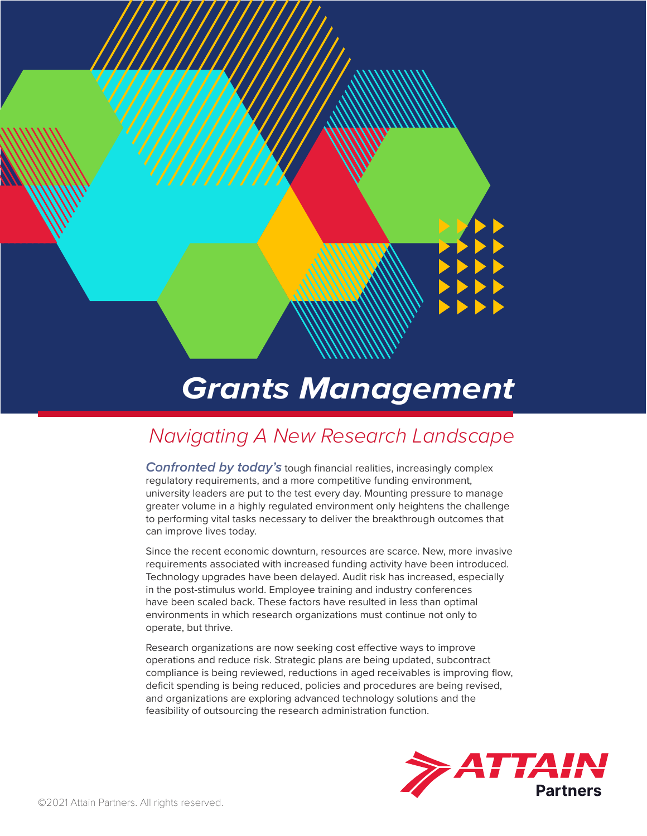

# *Grants Management*

## *Navigating A New Research Landscape*

*Confronted by today's* tough financial realities, increasingly complex regulatory requirements, and a more competitive funding environment, university leaders are put to the test every day. Mounting pressure to manage greater volume in a highly regulated environment only heightens the challenge to performing vital tasks necessary to deliver the breakthrough outcomes that can improve lives today.

Since the recent economic downturn, resources are scarce. New, more invasive requirements associated with increased funding activity have been introduced. Technology upgrades have been delayed. Audit risk has increased, especially in the post-stimulus world. Employee training and industry conferences have been scaled back. These factors have resulted in less than optimal environments in which research organizations must continue not only to operate, but thrive.

Research organizations are now seeking cost effective ways to improve operations and reduce risk. Strategic plans are being updated, subcontract compliance is being reviewed, reductions in aged receivables is improving flow, deficit spending is being reduced, policies and procedures are being revised, and organizations are exploring advanced technology solutions and the feasibility of outsourcing the research administration function.

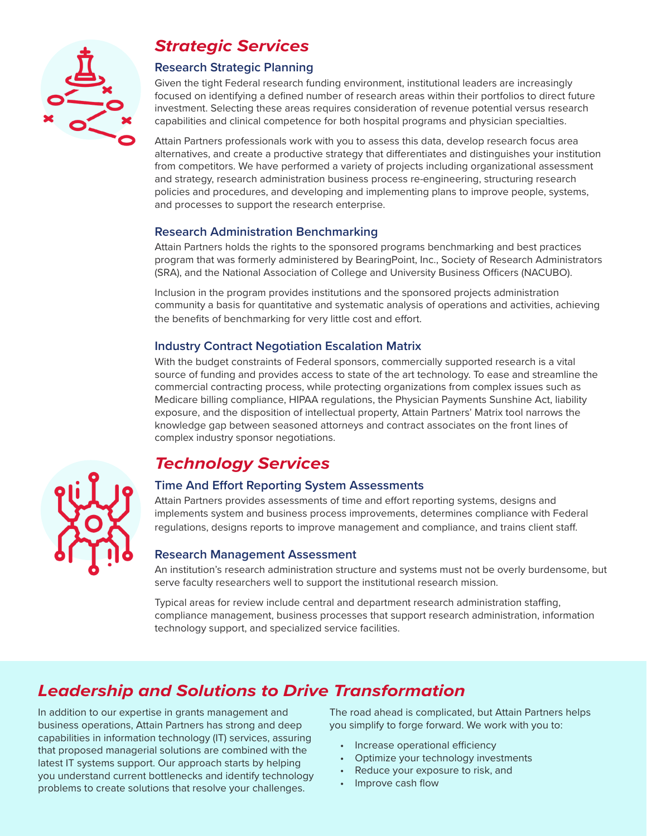

### *Strategic Services*

### **Research Strategic Planning**

Given the tight Federal research funding environment, institutional leaders are increasingly focused on identifying a defined number of research areas within their portfolios to direct future investment. Selecting these areas requires consideration of revenue potential versus research capabilities and clinical competence for both hospital programs and physician specialties.

Attain Partners professionals work with you to assess this data, develop research focus area alternatives, and create a productive strategy that differentiates and distinguishes your institution from competitors. We have performed a variety of projects including organizational assessment and strategy, research administration business process re-engineering, structuring research policies and procedures, and developing and implementing plans to improve people, systems, and processes to support the research enterprise.

### **Research Administration Benchmarking**

Attain Partners holds the rights to the sponsored programs benchmarking and best practices program that was formerly administered by BearingPoint, Inc., Society of Research Administrators (SRA), and the National Association of College and University Business Officers (NACUBO).

Inclusion in the program provides institutions and the sponsored projects administration community a basis for quantitative and systematic analysis of operations and activities, achieving the benefits of benchmarking for very little cost and effort.

### **Industry Contract Negotiation Escalation Matrix**

With the budget constraints of Federal sponsors, commercially supported research is a vital source of funding and provides access to state of the art technology. To ease and streamline the commercial contracting process, while protecting organizations from complex issues such as Medicare billing compliance, HIPAA regulations, the Physician Payments Sunshine Act, liability exposure, and the disposition of intellectual property, Attain Partners' Matrix tool narrows the knowledge gap between seasoned attorneys and contract associates on the front lines of complex industry sponsor negotiations.

### *Technology Services*

### **Time And Effort Reporting System Assessments**

Attain Partners provides assessments of time and effort reporting systems, designs and implements system and business process improvements, determines compliance with Federal regulations, designs reports to improve management and compliance, and trains client staff.

### **Research Management Assessment**

An institution's research administration structure and systems must not be overly burdensome, but serve faculty researchers well to support the institutional research mission.

Typical areas for review include central and department research administration staffing, compliance management, business processes that support research administration, information technology support, and specialized service facilities.

### *Leadership and Solutions to Drive Transformation*

In addition to our expertise in grants management and business operations, Attain Partners has strong and deep capabilities in information technology (IT) services, assuring that proposed managerial solutions are combined with the latest IT systems support. Our approach starts by helping you understand current bottlenecks and identify technology problems to create solutions that resolve your challenges.

The road ahead is complicated, but Attain Partners helps you simplify to forge forward. We work with you to:

- Increase operational efficiency
- Optimize your technology investments
- Reduce your exposure to risk, and
- Improve cash flow